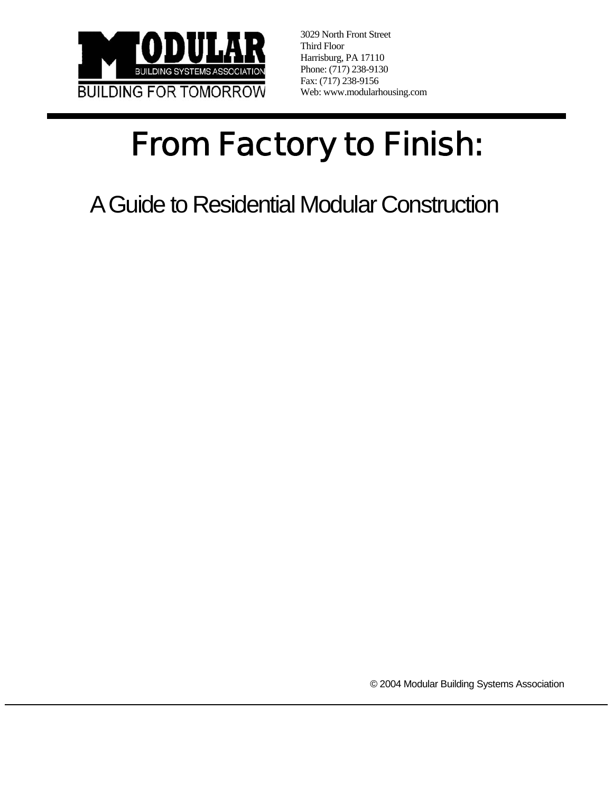

3029 North Front Street Third Floor Harrisburg, PA 17110 Phone: (717) 238-9130 Fax: (717) 238-9156 Web: www.modularhousing.com

# From Factory to Finish:

A Guide to Residential Modular Construction

© 2004 Modular Building Systems Association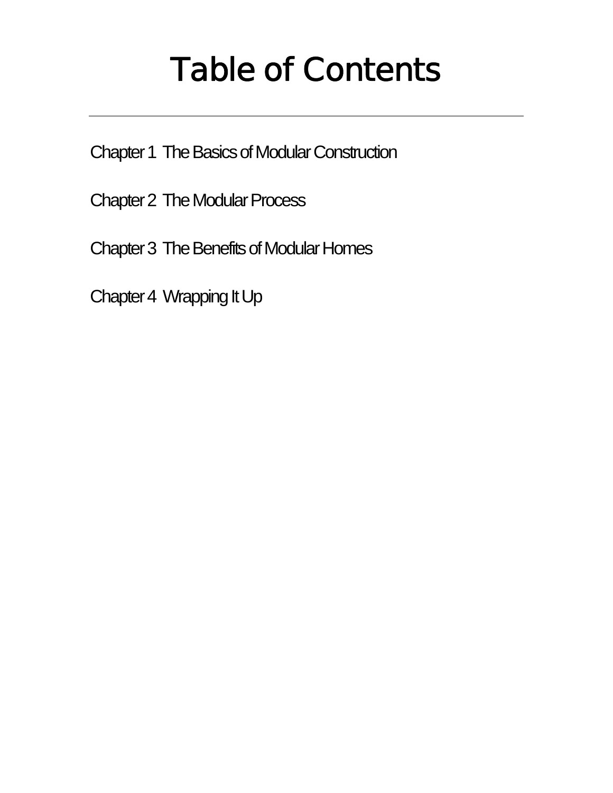## Table of Contents

Chapter 1 The Basics of Modular Construction

Chapter 2 The Modular Process

Chapter 3 The Benefits of Modular Homes

Chapter 4 Wrapping It Up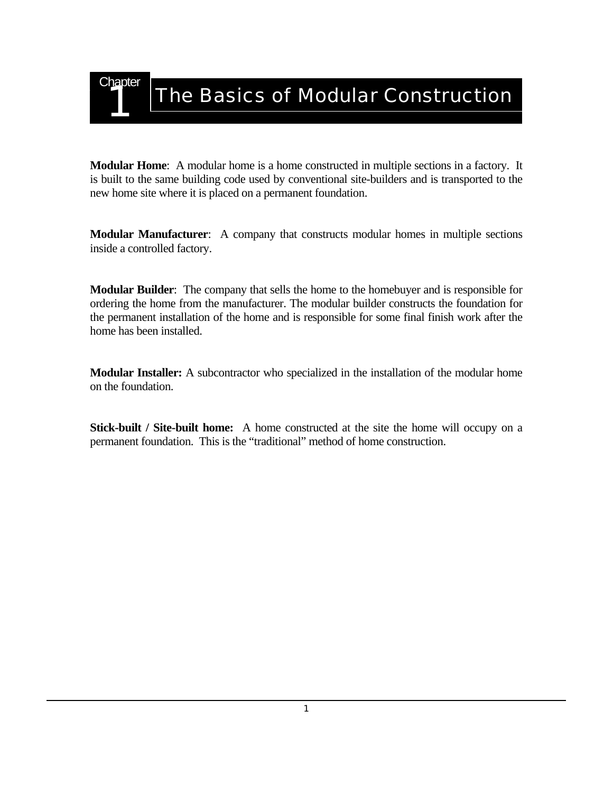

**Modular Home**: A modular home is a home constructed in multiple sections in a factory. It is built to the same building code used by conventional site-builders and is transported to the new home site where it is placed on a permanent foundation.

**Modular Manufacturer**: A company that constructs modular homes in multiple sections inside a controlled factory.

**Modular Builder**: The company that sells the home to the homebuyer and is responsible for ordering the home from the manufacturer. The modular builder constructs the foundation for the permanent installation of the home and is responsible for some final finish work after the home has been installed.

**Modular Installer:** A subcontractor who specialized in the installation of the modular home on the foundation.

**Stick-built / Site-built home:** A home constructed at the site the home will occupy on a permanent foundation. This is the "traditional" method of home construction.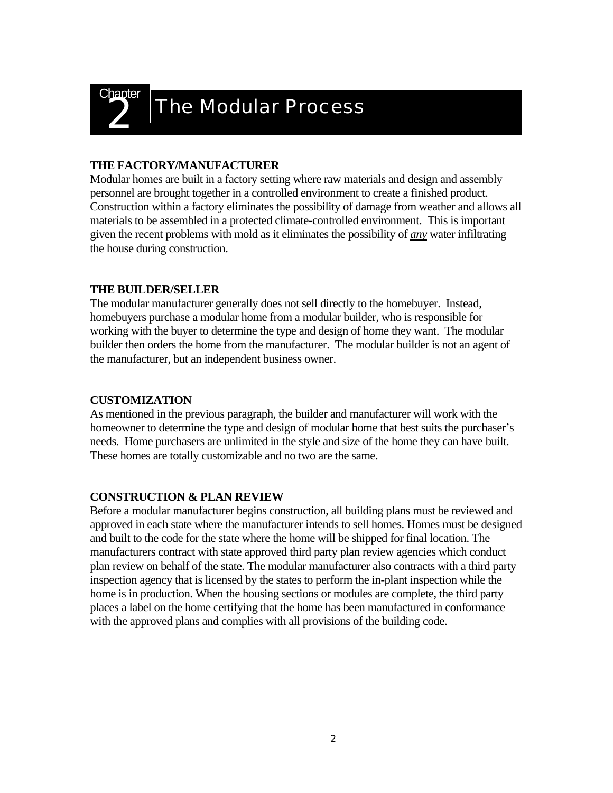

### **The Modular Process**

### **THE FACTORY/MANUFACTURER**

Modular homes are built in a factory setting where raw materials and design and assembly personnel are brought together in a controlled environment to create a finished product. Construction within a factory eliminates the possibility of damage from weather and allows all materials to be assembled in a protected climate-controlled environment. This is important given the recent problems with mold as it eliminates the possibility of *any* water infiltrating the house during construction.

### **THE BUILDER/SELLER**

The modular manufacturer generally does not sell directly to the homebuyer. Instead, homebuyers purchase a modular home from a modular builder, who is responsible for working with the buyer to determine the type and design of home they want. The modular builder then orders the home from the manufacturer. The modular builder is not an agent of the manufacturer, but an independent business owner.

### **CUSTOMIZATION**

As mentioned in the previous paragraph, the builder and manufacturer will work with the homeowner to determine the type and design of modular home that best suits the purchaser's needs. Home purchasers are unlimited in the style and size of the home they can have built. These homes are totally customizable and no two are the same.

### **CONSTRUCTION & PLAN REVIEW**

Before a modular manufacturer begins construction, all building plans must be reviewed and approved in each state where the manufacturer intends to sell homes. Homes must be designed and built to the code for the state where the home will be shipped for final location. The manufacturers contract with state approved third party plan review agencies which conduct plan review on behalf of the state. The modular manufacturer also contracts with a third party inspection agency that is licensed by the states to perform the in-plant inspection while the home is in production. When the housing sections or modules are complete, the third party places a label on the home certifying that the home has been manufactured in conformance with the approved plans and complies with all provisions of the building code.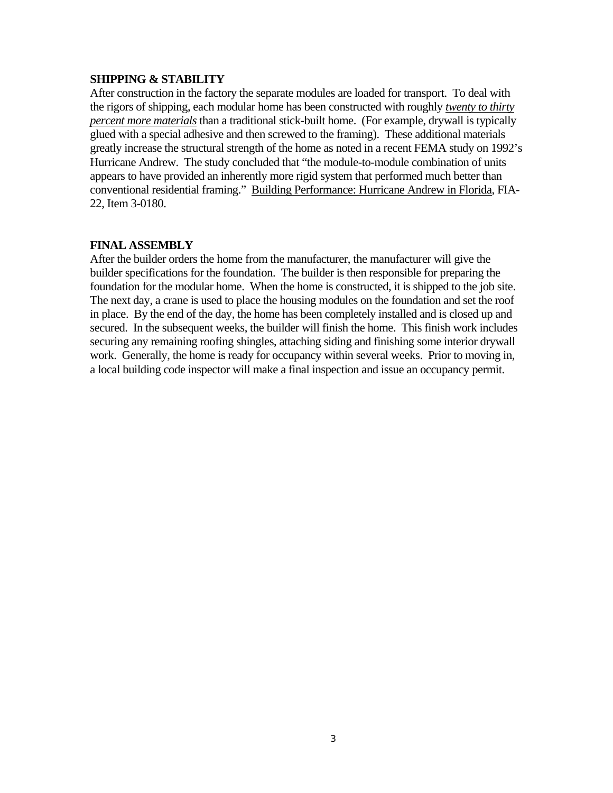#### **SHIPPING & STABILITY**

After construction in the factory the separate modules are loaded for transport. To deal with the rigors of shipping, each modular home has been constructed with roughly *twenty to thirty percent more materials* than a traditional stick-built home. (For example, drywall is typically glued with a special adhesive and then screwed to the framing). These additional materials greatly increase the structural strength of the home as noted in a recent FEMA study on 1992's Hurricane Andrew. The study concluded that "the module-to-module combination of units appears to have provided an inherently more rigid system that performed much better than conventional residential framing." Building Performance: Hurricane Andrew in Florida, FIA-22, Item 3-0180.

#### **FINAL ASSEMBLY**

After the builder orders the home from the manufacturer, the manufacturer will give the builder specifications for the foundation. The builder is then responsible for preparing the foundation for the modular home. When the home is constructed, it is shipped to the job site. The next day, a crane is used to place the housing modules on the foundation and set the roof in place. By the end of the day, the home has been completely installed and is closed up and secured. In the subsequent weeks, the builder will finish the home. This finish work includes securing any remaining roofing shingles, attaching siding and finishing some interior drywall work. Generally, the home is ready for occupancy within several weeks. Prior to moving in, a local building code inspector will make a final inspection and issue an occupancy permit.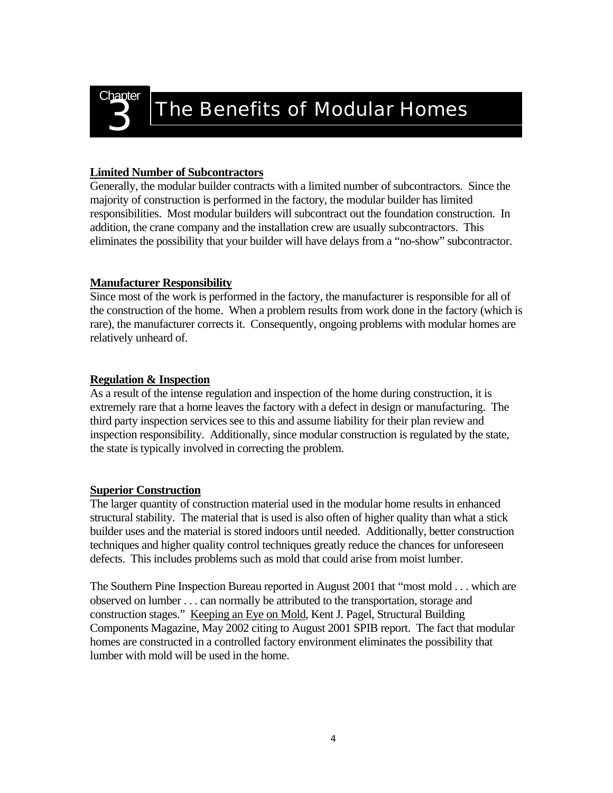

### **The Benefits of Modular Homes**

### **Limited Number of Subcontractors**

Generally, the modular builder contracts with a limited number of subcontractors. Since the majority of construction is performed in the factory, the modular builder has limited responsibilities. Most modular builders will subcontract out the foundation construction. In addition, the crane company and the installation crew are usually subcontractors. This eliminates the possibility that your builder will have delays from a "no-show" subcontractor.

### **Manufacturer Responsibility**

Since most of the work is performed in the factory, the manufacturer is responsible for all of the construction of the home. When a problem results from work done in the factory (which is rare), the manufacturer corrects it. Consequently, ongoing problems with modular homes are relatively unheard of.

### **Regulation & Inspection**

As a result of the intense regulation and inspection of the home during construction, it is extremely rare that a home leaves the factory with a defect in design or manufacturing. The third party inspection services see to this and assume liability for their plan review and inspection responsibility. Additionally, since modular construction is regulated by the state, the state is typically involved in correcting the problem.

### **Superior Construction**

The larger quantity of construction material used in the modular home results in enhanced structural stability. The material that is used is also often of higher quality than what a stick builder uses and the material is stored indoors until needed. Additionally, better construction techniques and higher quality control techniques greatly reduce the chances for unforeseen defects. This includes problems such as mold that could arise from moist lumber.

The Southern Pine Inspection Bureau reported in August 2001 that "most mold . . . which are observed on lumber . . . can normally be attributed to the transportation, storage and construction stages." Keeping an Eye on Mold, Kent J. Pagel, Structural Building Components Magazine, May 2002 citing to August 2001 SPIB report. The fact that modular homes are constructed in a controlled factory environment eliminates the possibility that lumber with mold will be used in the home.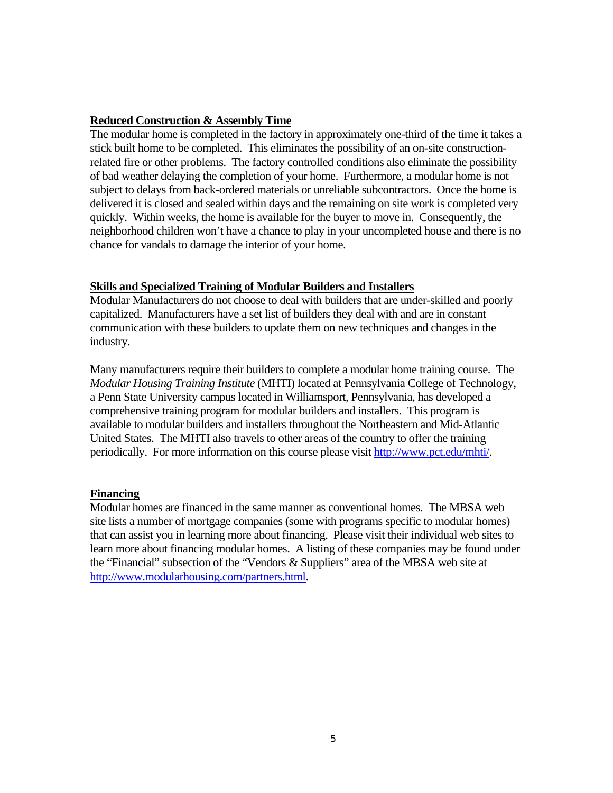### **Reduced Construction & Assembly Time**

The modular home is completed in the factory in approximately one-third of the time it takes a stick built home to be completed. This eliminates the possibility of an on-site constructionrelated fire or other problems. The factory controlled conditions also eliminate the possibility of bad weather delaying the completion of your home. Furthermore, a modular home is not subject to delays from back-ordered materials or unreliable subcontractors. Once the home is delivered it is closed and sealed within days and the remaining on site work is completed very quickly. Within weeks, the home is available for the buyer to move in. Consequently, the neighborhood children won't have a chance to play in your uncompleted house and there is no chance for vandals to damage the interior of your home.

### **Skills and Specialized Training of Modular Builders and Installers**

Modular Manufacturers do not choose to deal with builders that are under-skilled and poorly capitalized. Manufacturers have a set list of builders they deal with and are in constant communication with these builders to update them on new techniques and changes in the industry.

Many manufacturers require their builders to complete a modular home training course. The *Modular Housing Training Institute* (MHTI) located at Pennsylvania College of Technology, a Penn State University campus located in Williamsport, Pennsylvania, has developed a comprehensive training program for modular builders and installers. This program is available to modular builders and installers throughout the Northeastern and Mid-Atlantic United States. The MHTI also travels to other areas of the country to offer the training periodically. For more information on this course please visit [http://www.pct.edu/mhti/.](http://www.pct.edu/mhti/)

### **Financing**

Modular homes are financed in the same manner as conventional homes. The MBSA web site lists a number of mortgage companies (some with programs specific to modular homes) that can assist you in learning more about financing. Please visit their individual web sites to learn more about financing modular homes. A listing of these companies may be found under the "Financial" subsection of the "Vendors & Suppliers" area of the MBSA web site at <http://www.modularhousing.com/partners.html>.